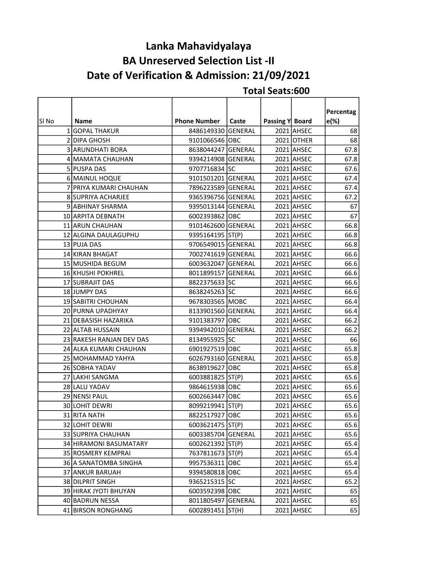# Lanka Mahavidyalaya BA Unreserved Selection List -II Date of Verification & Admission: 21/09/2021

|       |                          |                     |       |                 |            | Percentag |
|-------|--------------------------|---------------------|-------|-----------------|------------|-----------|
| SI No | <b>Name</b>              | <b>Phone Number</b> | Caste | Passing Y Board |            | e(%)      |
|       | 1 GOPAL THAKUR           | 8486149330 GENERAL  |       |                 | 2021 AHSEC | 68        |
|       | 2 DIPA GHOSH             | 9101066546 OBC      |       |                 | 2021 OTHER | 68        |
|       | 3 ARUNDHATI BORA         | 8638044247 GENERAL  |       |                 | 2021 AHSEC | 67.8      |
|       | 4 MAMATA CHAUHAN         | 9394214908 GENERAL  |       |                 | 2021 AHSEC | 67.8      |
|       | 5 PUSPA DAS              | 9707716834 SC       |       |                 | 2021 AHSEC | 67.6      |
|       | 6 MAINUL HOQUE           | 9101501201 GENERAL  |       |                 | 2021 AHSEC | 67.4      |
|       | 7 PRIYA KUMARI CHAUHAN   | 7896223589 GENERAL  |       |                 | 2021 AHSEC | 67.4      |
|       | 8 SUPRIYA ACHARJEE       | 9365396756 GENERAL  |       |                 | 2021 AHSEC | 67.2      |
|       | 9 ABHINAY SHARMA         | 9395013144 GENERAL  |       |                 | 2021 AHSEC | 67        |
|       | 10 ARPITA DEBNATH        | 6002393862 OBC      |       |                 | 2021 AHSEC | 67        |
|       | 11 ARUN CHAUHAN          | 9101462600 GENERAL  |       |                 | 2021 AHSEC | 66.8      |
|       | 12 ALGINA DAULAGUPHU     | 9395164195 ST(P)    |       |                 | 2021 AHSEC | 66.8      |
|       | 13 PUJA DAS              | 9706549015 GENERAL  |       |                 | 2021 AHSEC | 66.8      |
|       | 14 KIRAN BHAGAT          | 7002741619 GENERAL  |       |                 | 2021 AHSEC | 66.6      |
|       | 15 MUSHIDA BEGUM         | 6003632047 GENERAL  |       |                 | 2021 AHSEC | 66.6      |
|       | 16 KHUSHI POKHREL        | 8011899157 GENERAL  |       |                 | 2021 AHSEC | 66.6      |
|       | 17 SUBRAJIT DAS          | 8822375633 SC       |       |                 | 2021 AHSEC | 66.6      |
|       | 18 JUMPY DAS             | 8638245263 SC       |       |                 | 2021 AHSEC | 66.6      |
|       | 19 SABITRI CHOUHAN       | 9678303565 MOBC     |       |                 | 2021 AHSEC | 66.4      |
|       | 20 PURNA UPADHYAY        | 8133901560 GENERAL  |       |                 | 2021 AHSEC | 66.4      |
|       | 21 DEBASISH HAZARIKA     | 9101383797 OBC      |       |                 | 2021 AHSEC | 66.2      |
|       | 22 ALTAB HUSSAIN         | 9394942010 GENERAL  |       |                 | 2021 AHSEC | 66.2      |
|       | 23 RAKESH RANJAN DEV DAS | 8134955925 SC       |       |                 | 2021 AHSEC | 66        |
|       | 24 ALKA KUMARI CHAUHAN   | 6901927519 OBC      |       |                 | 2021 AHSEC | 65.8      |
|       | 25 MOHAMMAD YAHYA        | 6026793160 GENERAL  |       |                 | 2021 AHSEC | 65.8      |
|       | 26 SOBHA YADAV           | 8638919627 OBC      |       |                 | 2021 AHSEC | 65.8      |
|       | 27 LAKHI SANGMA          | 6003881825 ST(P)    |       |                 | 2021 AHSEC | 65.6      |
|       | 28 LALU YADAV            | 9864615938 OBC      |       |                 | 2021 AHSEC | 65.6      |
|       | 29 NENSI PAUL            | 6002663447 OBC      |       |                 | 2021 AHSEC | 65.6      |
|       | 30 LOHIT DEWRI           | 8099219941 ST(P)    |       |                 | 2021 AHSEC | 65.6      |
|       | 31 RITA NATH             | 8822517927 OBC      |       |                 | 2021 AHSEC | 65.6      |
|       | 32 LOHIT DEWRI           | 6003621475 ST(P)    |       |                 | 2021 AHSEC | 65.6      |
|       | 33 SUPRIYA CHAUHAN       | 6003385704 GENERAL  |       |                 | 2021 AHSEC | 65.6      |
|       | 34 HIRAMONI BASUMATARY   | 6002621392 ST(P)    |       |                 | 2021 AHSEC | 65.4      |
|       | 35 ROSMERY KEMPRAI       | 7637811673 ST(P)    |       |                 | 2021 AHSEC | 65.4      |
|       | 36 A SANATOMBA SINGHA    | 9957536311 OBC      |       |                 | 2021 AHSEC | 65.4      |
|       | 37 ANKUR BARUAH          | 9394580818 OBC      |       |                 | 2021 AHSEC | 65.4      |
|       | 38 DILPRIT SINGH         | 9365215315 SC       |       |                 | 2021 AHSEC | 65.2      |
|       | 39 HIRAK JYOTI BHUYAN    | 6003592398 OBC      |       |                 | 2021 AHSEC | 65        |
|       | 40 BADRUN NESSA          | 8011805497 GENERAL  |       |                 | 2021 AHSEC | 65        |
|       | 41 BIRSON RONGHANG       | 6002891451 ST(H)    |       |                 | 2021 AHSEC | 65        |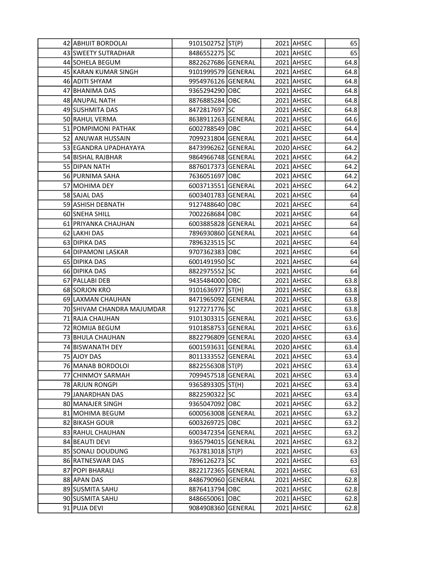| 42 ABHIJIT BORDOLAI        | 9101502752 ST(P)   |  | 2021 AHSEC | 65   |
|----------------------------|--------------------|--|------------|------|
| 43 SWEETY SUTRADHAR        | 8486552275 SC      |  | 2021 AHSEC | 65   |
| 44 SOHELA BEGUM            | 8822627686 GENERAL |  | 2021 AHSEC | 64.8 |
| 45 KARAN KUMAR SINGH       | 9101999579 GENERAL |  | 2021 AHSEC | 64.8 |
| 46 ADITI SHYAM             | 9954976126 GENERAL |  | 2021 AHSEC | 64.8 |
| 47 BHANIMA DAS             | 9365294290 OBC     |  | 2021 AHSEC | 64.8 |
| 48 ANUPAL NATH             | 8876885284 OBC     |  | 2021 AHSEC | 64.8 |
| 49 SUSHMITA DAS            | 8472817697 SC      |  | 2021 AHSEC | 64.8 |
| 50 RAHUL VERMA             | 8638911263 GENERAL |  | 2021 AHSEC | 64.6 |
| 51 POMPIMONI PATHAK        | 6002788549 OBC     |  | 2021 AHSEC | 64.4 |
| 52 ANUWAR HUSSAIN          | 7099231804 GENERAL |  | 2021 AHSEC | 64.4 |
| 53 EGANDRA UPADHAYAYA      | 8473996262 GENERAL |  | 2020 AHSEC | 64.2 |
| 54 BISHAL RAJBHAR          | 9864966748 GENERAL |  | 2021 AHSEC | 64.2 |
| 55 DIPAN NATH              | 8876017373 GENERAL |  | 2021 AHSEC | 64.2 |
| 56 PURNIMA SAHA            | 7636051697 OBC     |  | 2021 AHSEC | 64.2 |
| 57 MOHIMA DEY              | 6003713551 GENERAL |  | 2021 AHSEC | 64.2 |
| 58 SAJAL DAS               | 6003401783 GENERAL |  | 2021 AHSEC | 64   |
| 59 ASHISH DEBNATH          | 9127488640 OBC     |  | 2021 AHSEC | 64   |
| 60 SNEHA SHILL             | 7002268684 OBC     |  | 2021 AHSEC | 64   |
| 61 PRIYANKA CHAUHAN        | 6003885828 GENERAL |  | 2021 AHSEC | 64   |
| 62 LAKHI DAS               | 7896930860 GENERAL |  | 2021 AHSEC | 64   |
| 63 DIPIKA DAS              | 7896323515 SC      |  | 2021 AHSEC | 64   |
| 64 DIPAMONI LASKAR         | 9707362383 OBC     |  | 2021 AHSEC | 64   |
| 65 DIPIKA DAS              | 6001491950 SC      |  | 2021 AHSEC | 64   |
| 66 DIPIKA DAS              | 8822975552 SC      |  | 2021 AHSEC | 64   |
| 67 PALLABI DEB             | 9435484000 OBC     |  | 2021 AHSEC | 63.8 |
| 68 SORJON KRO              | 9101636977 ST(H)   |  | 2021 AHSEC | 63.8 |
| 69 LAXMAN CHAUHAN          | 8471965092 GENERAL |  | 2021 AHSEC | 63.8 |
| 70 SHIVAM CHANDRA MAJUMDAR | 9127271776 SC      |  | 2021 AHSEC | 63.8 |
| 71 RAJA CHAUHAN            | 9101303315 GENERAL |  | 2021 AHSEC | 63.6 |
| 72 ROMIJA BEGUM            | 9101858753 GENERAL |  | 2021 AHSEC | 63.6 |
| 73 BHULA CHAUHAN           | 8822796809 GENERAL |  | 2020 AHSEC | 63.4 |
| 74 BISWANATH DEY           | 6001593631 GENERAL |  | 2020 AHSEC | 63.4 |
| 75 AJOY DAS                | 8011333552 GENERAL |  | 2021 AHSEC | 63.4 |
| 76 MANAB BORDOLOI          | 8822556308 ST(P)   |  | 2021 AHSEC | 63.4 |
| 77 CHINMOY SARMAH          | 7099457518 GENERAL |  | 2021 AHSEC | 63.4 |
| 78 ARJUN RONGPI            | 9365893305 ST(H)   |  | 2021 AHSEC | 63.4 |
| 79 JANARDHAN DAS           | 8822590322 SC      |  | 2021 AHSEC | 63.4 |
| 80 MANAJER SINGH           | 9365047092 OBC     |  | 2021 AHSEC | 63.2 |
| 81 MOHIMA BEGUM            | 6000563008 GENERAL |  | 2021 AHSEC | 63.2 |
| 82 BIKASH GOUR             | 6003269725 OBC     |  | 2021 AHSEC | 63.2 |
| 83 RAHUL CHAUHAN           | 6003472354 GENERAL |  | 2021 AHSEC | 63.2 |
| 84 BEAUTI DEVI             | 9365794015 GENERAL |  | 2021 AHSEC | 63.2 |
| 85 SONALI DOUDUNG          | 7637813018 ST(P)   |  | 2021 AHSEC | 63   |
| 86 RATNESWAR DAS           | 7896126273 SC      |  | 2021 AHSEC | 63   |
| 87 POPI BHARALI            | 8822172365 GENERAL |  | 2021 AHSEC | 63   |
| 88 APAN DAS                | 8486790960 GENERAL |  | 2021 AHSEC | 62.8 |
| 89 SUSMITA SAHU            |                    |  | 2021 AHSEC | 62.8 |
|                            | 8876413794 OBC     |  |            |      |
| 90 SUSMITA SAHU            | 8486650061 OBC     |  | 2021 AHSEC | 62.8 |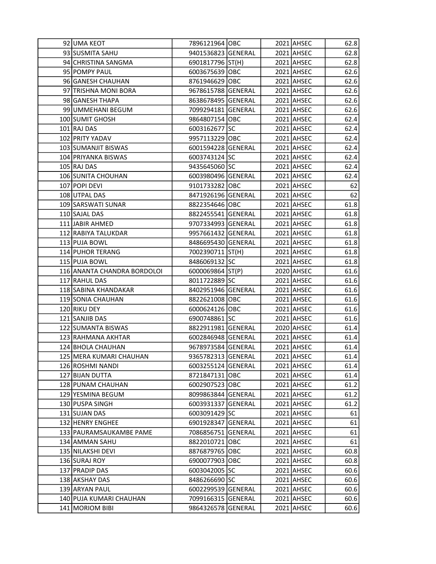| 92 JUMA KEOT                | 7896121964 OBC     |  | 2021 AHSEC | 62.8 |
|-----------------------------|--------------------|--|------------|------|
| 93 SUSMITA SAHU             | 9401536823 GENERAL |  | 2021 AHSEC | 62.8 |
| 94 CHRISTINA SANGMA         | 6901817796 ST(H)   |  | 2021 AHSEC | 62.8 |
| 95 POMPY PAUL               | 6003675639 OBC     |  | 2021 AHSEC | 62.6 |
| 96 GANESH CHAUHAN           | 8761946629 OBC     |  | 2021 AHSEC | 62.6 |
| 97 TRISHNA MONI BORA        | 9678615788 GENERAL |  | 2021 AHSEC | 62.6 |
| 98 GANESH THAPA             | 8638678495 GENERAL |  | 2021 AHSEC | 62.6 |
| 99 UMMEHANI BEGUM           | 7099294181 GENERAL |  | 2021 AHSEC | 62.6 |
| 100 SUMIT GHOSH             | 9864807154 OBC     |  | 2021 AHSEC | 62.4 |
| 101 RAJ DAS                 | 6003162677 SC      |  | 2021 AHSEC | 62.4 |
| 102 PRITY YADAV             | 9957113229 OBC     |  | 2021 AHSEC | 62.4 |
| 103 SUMANJIT BISWAS         | 6001594228 GENERAL |  | 2021 AHSEC | 62.4 |
| 104 PRIYANKA BISWAS         | 6003743124 SC      |  | 2021 AHSEC | 62.4 |
| 105 RAJ DAS                 | 9435645060 SC      |  | 2021 AHSEC | 62.4 |
| 106 SUNITA CHOUHAN          | 6003980496 GENERAL |  | 2021 AHSEC | 62.4 |
| 107 POPI DEVI               | 9101733282 OBC     |  | 2021 AHSEC | 62   |
| 108 UTPAL DAS               | 8471926196 GENERAL |  | 2021 AHSEC | 62   |
| 109 SARSWATI SUNAR          | 8822354646 OBC     |  | 2021 AHSEC | 61.8 |
| 110 SAJAL DAS               | 8822455541 GENERAL |  | 2021 AHSEC | 61.8 |
| 111 JABIR AHMED             | 9707334993 GENERAL |  | 2021 AHSEC | 61.8 |
| 112 RABIYA TALUKDAR         | 9957661432 GENERAL |  | 2021 AHSEC | 61.8 |
| 113 PUJA BOWL               | 8486695430 GENERAL |  | 2021 AHSEC | 61.8 |
| 114 PUHOR TERANG            | 7002390711 ST(H)   |  | 2021 AHSEC | 61.8 |
| 115 PUJA BOWL               | 8486069132 SC      |  | 2021 AHSEC | 61.8 |
| 116 ANANTA CHANDRA BORDOLOI | 6000069864 ST(P)   |  | 2020 AHSEC | 61.6 |
| 117 RAHUL DAS               | 8011722889 SC      |  | 2021 AHSEC | 61.6 |
| 118 SABINA KHANDAKAR        | 8402951946 GENERAL |  | 2021 AHSEC | 61.6 |
| 119 SONIA CHAUHAN           | 8822621008 OBC     |  | 2021 AHSEC | 61.6 |
| 120 RIKU DEY                | 6000624126 OBC     |  | 2021 AHSEC | 61.6 |
| 121 SANJIB DAS              | 6900748861 SC      |  | 2021 AHSEC | 61.6 |
| 122 SUMANTA BISWAS          | 8822911981 GENERAL |  | 2020 AHSEC | 61.4 |
| 123 RAHMANA AKHTAR          | 6002846948 GENERAL |  | 2021 AHSEC | 61.4 |
| 124 BHOLA CHAUHAN           | 9678973584 GENERAL |  | 2021 AHSEC | 61.4 |
| 125 MERA KUMARI CHAUHAN     | 9365782313 GENERAL |  | 2021 AHSEC | 61.4 |
| 126 ROSHMI NANDI            | 6003255124 GENERAL |  | 2021 AHSEC | 61.4 |
| 127 BIJAN DUTTA             | 8721847131 OBC     |  | 2021 AHSEC | 61.4 |
| 128 PUNAM CHAUHAN           | 6002907523 OBC     |  | 2021 AHSEC | 61.2 |
| 129 YESMINA BEGUM           | 8099863844 GENERAL |  | 2021 AHSEC | 61.2 |
| 130 PUSPA SINGH             | 6003931337 GENERAL |  | 2021 AHSEC | 61.2 |
| 131 SUJAN DAS               | 6003091429 SC      |  | 2021 AHSEC | 61   |
| 132 HENRY ENGHEE            | 6901928347 GENERAL |  | 2021 AHSEC | 61   |
| 133 PAURAMSAUKAMBE PAME     | 7086856751 GENERAL |  | 2021 AHSEC | 61   |
| 134 AMMAN SAHU              | 8822010721 OBC     |  | 2021 AHSEC | 61   |
| 135 NILAKSHI DEVI           | 8876879765 OBC     |  | 2021 AHSEC | 60.8 |
| 136 SURAJ ROY               | 6900077903 OBC     |  | 2021 AHSEC | 60.8 |
| 137 PRADIP DAS              | 6003042005 SC      |  | 2021 AHSEC | 60.6 |
| 138 AKSHAY DAS              | 8486266690 SC      |  | 2021 AHSEC | 60.6 |
|                             |                    |  |            |      |
| 139 ARYAN PAUL              | 6002299539 GENERAL |  | 2021 AHSEC | 60.6 |
| 140 PUJA KUMARI CHAUHAN     | 7099166315 GENERAL |  | 2021 AHSEC | 60.6 |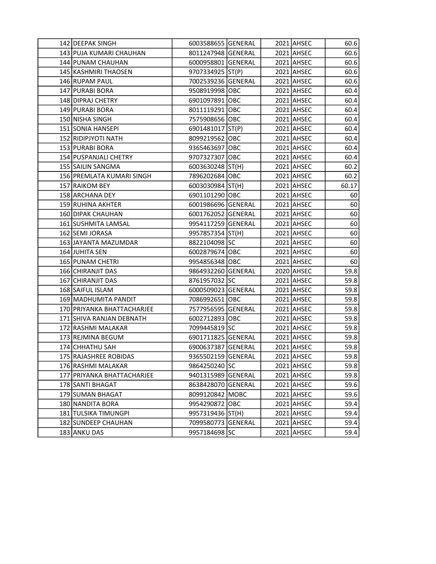| 142 DEEPAK SINGH           | 6003588655 GENERAL |  | 2021 AHSEC | 60.6  |
|----------------------------|--------------------|--|------------|-------|
| 143 PUJA KUMARI CHAUHAN    | 8011247948 GENERAL |  | 2021 AHSEC | 60.6  |
| 144 PUNAM CHAUHAN          | 6000958801 GENERAL |  | 2021 AHSEC | 60.6  |
| 145 KASHMIRI THAOSEN       | 9707334925 ST(P)   |  | 2021 AHSEC | 60.6  |
| 146 RUPAM PAUL             | 7002539236 GENERAL |  | 2021 AHSEC | 60.6  |
| 147 PURABI BORA            | 9508919998 OBC     |  | 2021 AHSEC | 60.4  |
| 148 DIPRAJ CHETRY          | 6901097891 OBC     |  | 2021 AHSEC | 60.4  |
| 149 PURABI BORA            | 8011119291 OBC     |  | 2021 AHSEC | 60.4  |
| 150 NISHA SINGH            | 7575908656 OBC     |  | 2021 AHSEC | 60.4  |
| 151 SONIA HANSEPI          | 6901481017   ST(P) |  | 2021 AHSEC | 60.4  |
| 152 RIDIPJYOTI NATH        | 8099219562 OBC     |  | 2021 AHSEC | 60.4  |
| 153 PURABI BORA            | 9365463697 OBC     |  | 2021 AHSEC | 60.4  |
| 154 PUSPANJALI CHETRY      | 9707327307 OBC     |  | 2021 AHSEC | 60.4  |
| 155 SAILIN SANGMA          | 6003630248 ST(H)   |  | 2021 AHSEC | 60.2  |
| 156 PREMLATA KUMARI SINGH  | 7896202684 OBC     |  | 2021 AHSEC | 60.2  |
| 157 RAIKOM BEY             | 6003030984 ST(H)   |  | 2021 AHSEC | 60.17 |
| 158 ARCHANA DEY            | 6901101290 OBC     |  | 2021 AHSEC | 60    |
| 159 RUHINA AKHTER          | 6001986696 GENERAL |  | 2021 AHSEC | 60    |
| 160 DIPAK CHAUHAN          | 6001762052 GENERAL |  | 2021 AHSEC | 60    |
| 161 SUSHMITA LAMSAL        | 9954117259 GENERAL |  | 2021 AHSEC | 60    |
| 162 SEMI JORASA            | 9957857354 ST(H)   |  | 2021 AHSEC | 60    |
| 163 JAYANTA MAZUMDAR       | 8822104098 SC      |  | 2021 AHSEC | 60    |
| 164 JUHITA SEN             | 6002879674 OBC     |  | 2021 AHSEC | 60    |
| 165 PUNAM CHETRI           | 9954856348 OBC     |  | 2021 AHSEC | 60    |
| 166 CHIRANJIT DAS          | 9864932260 GENERAL |  | 2020 AHSEC | 59.8  |
| 167 CHIRANJIT DAS          | 8761957032 SC      |  | 2021 AHSEC | 59.8  |
| 168 SAIFUL ISLAM           | 6000509023 GENERAL |  | 2021 AHSEC | 59.8  |
| 169 MADHUMITA PANDIT       | 7086992651 OBC     |  | 2021 AHSEC | 59.8  |
| 170 PRIYANKA BHATTACHARJEE | 7577956595 GENERAL |  | 2021 AHSEC | 59.8  |
| 171 SHIVA RANJAN DEBNATH   | 6002712893 OBC     |  | 2021 AHSEC | 59.8  |
| 172 RASHMI MALAKAR         | 7099445819 SC      |  | 2021 AHSEC | 59.8  |
| 173 REJMINA BEGUM          | 6901711825 GENERAL |  | 2021 AHSEC | 59.8  |
| 174 CHHATHU SAH            | 6900637387 GENERAL |  | 2021 AHSEC | 59.8  |
| 175 RAJASHREE ROBIDAS      | 9365502159 GENERAL |  | 2021 AHSEC | 59.8  |
| 176 RASHMI MALAKAR         | 9864250240 SC      |  | 2021 AHSEC | 59.8  |
| 177 PRIYANKA BHATTACHARJEE | 9401315989 GENERAL |  | 2021 AHSEC | 59.8  |
| 178 SANTI BHAGAT           | 8638428070 GENERAL |  | 2021 AHSEC | 59.6  |
| 179 SUMAN BHAGAT           | 8099120842 MOBC    |  | 2021 AHSEC | 59.6  |
| 180 NANDITA BORA           | 9954290872 OBC     |  | 2021 AHSEC | 59.4  |
| 181 TULSIKA TIMUNGPI       | 9957319436 ST(H)   |  | 2021 AHSEC | 59.4  |
| 182 SUNDEEP CHAUHAN        | 7099580773 GENERAL |  | 2021 AHSEC | 59.4  |
| 183 ANKU DAS               | 9957184698 SC      |  | 2021 AHSEC | 59.4  |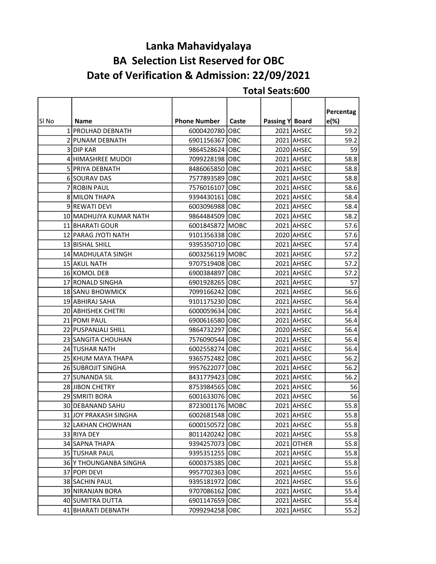# Lanka Mahavidyalaya BA Selection List Reserved for OBC Date of Verification & Admission: 22/09/2021

|       |                        |                     |       |                 |              | Percentag |
|-------|------------------------|---------------------|-------|-----------------|--------------|-----------|
| SI No | Name                   | <b>Phone Number</b> | Caste | Passing Y Board |              | e(%)      |
|       | 1 PROLHAD DEBNATH      | 6000420780 OBC      |       |                 | 2021 AHSEC   | 59.2      |
|       | 2 PUNAM DEBNATH        | 6901156367 OBC      |       |                 | 2021 AHSEC   | 59.2      |
|       | 3 DIP KAR              | 9864528624 OBC      |       |                 | 2020 AHSEC   | 59        |
|       | 4 HIMASHREE MUDOI      | 7099228198 OBC      |       |                 | 2021 AHSEC   | 58.8      |
|       | 5 PRIYA DEBNATH        | 8486065850 OBC      |       |                 | 2021 AHSEC   | 58.8      |
|       | 6 SOURAV DAS           | 7577893589 OBC      |       |                 | 2021 AHSEC   | 58.8      |
|       | 7 ROBIN PAUL           | 7576016107 OBC      |       |                 | 2021 AHSEC   | 58.6      |
|       | 8 MILON THAPA          | 9394430161 OBC      |       |                 | 2021 AHSEC   | 58.4      |
|       | 9 REWATI DEVI          | 6003096988 OBC      |       |                 | 2021 AHSEC   | 58.4      |
|       | 10 MADHUJYA KUMAR NATH | 9864484509 OBC      |       |                 | 2021 AHSEC   | 58.2      |
|       | 11 BHARATI GOUR        | 6001845872 MOBC     |       |                 | 2021 AHSEC   | 57.6      |
|       | 12 PARAG JYOTI NATH    | 9101356338 OBC      |       |                 | 2020 AHSEC   | 57.6      |
|       | 13 BISHAL SHILL        | 9395350710 OBC      |       |                 | 2021 AHSEC   | 57.4      |
|       | 14 MADHULATA SINGH     | 6003256119 MOBC     |       |                 | 2021 AHSEC   | 57.2      |
|       | 15 AKUL NATH           | 9707519408 OBC      |       |                 | 2021 AHSEC   | 57.2      |
|       | 16 KOMOL DEB           | 6900384897 OBC      |       |                 | 2021 AHSEC   | 57.2      |
|       | 17 RONALD SINGHA       | 6901928265 OBC      |       |                 | 2021 AHSEC   | 57        |
|       | 18 SANU BHOWMICK       | 7099166242 OBC      |       |                 | 2021 AHSEC   | 56.6      |
|       | 19 ABHIRAJ SAHA        | 9101175230 OBC      |       |                 | 2021 AHSEC   | 56.4      |
|       | 20 ABHISHEK CHETRI     | 6000059634 OBC      |       |                 | 2021 AHSEC   | 56.4      |
|       | 21 POMI PAUL           | 6900616580 OBC      |       |                 | 2021 AHSEC   | 56.4      |
|       | 22 PUSPANJALI SHILL    | 9864732297 OBC      |       |                 | 2020 AHSEC   | 56.4      |
|       | 23 SANGITA CHOUHAN     | 7576090544 OBC      |       |                 | 2021 AHSEC   | 56.4      |
|       | 24 TUSHAR NATH         | 6002558274 OBC      |       |                 | 2021 AHSEC   | 56.4      |
|       | 25 KHUM MAYA THAPA     | 9365752482 OBC      |       |                 | 2021 AHSEC   | 56.2      |
|       | 26 SUBROJIT SINGHA     | 9957622077 OBC      |       |                 | 2021 AHSEC   | 56.2      |
|       | 27 SUNANDA SIL         | 8431779423 OBC      |       |                 | 2021 AHSEC   | 56.2      |
|       | 28 JIBON CHETRY        | 8753984565 OBC      |       |                 | 2021 AHSEC   | 56        |
|       | 29 SMRITI BORA         | 6001633076 OBC      |       |                 | 2021 AHSEC   | 56        |
|       | 30 DEBANAND SAHU       | 8723001176 MOBC     |       |                 | 2021 AHSEC   | 55.8      |
|       | 31 JOY PRAKASH SINGHA  | 6002681548 OBC      |       |                 | $2021$ AHSEC | 55.8      |
|       | 32 LAKHAN CHOWHAN      | 6000150572 OBC      |       |                 | 2021 AHSEC   | 55.8      |
|       | 33 RIYA DEY            | 8011420242 OBC      |       |                 | 2021 AHSEC   | 55.8      |
|       | 34 SAPNA THAPA         | 9394257073 OBC      |       |                 | 2021 OTHER   | 55.8      |
|       | <b>35 TUSHAR PAUL</b>  | 9395351255 OBC      |       |                 | 2021 AHSEC   | 55.8      |
|       | 36 Y THOUNGANBA SINGHA | 6000375385 OBC      |       |                 | 2021 AHSEC   | 55.8      |
|       | 37 POPI DEVI           | 9957702363 OBC      |       |                 | 2021 AHSEC   | 55.6      |
|       | 38 SACHIN PAUL         | 9395181972 OBC      |       |                 | 2021 AHSEC   | 55.6      |
|       | 39 NIRANJAN BORA       | 9707086162 OBC      |       |                 | 2021 AHSEC   | 55.4      |
|       | 40 SUMITRA DUTTA       | 6901147659 OBC      |       |                 | 2021 AHSEC   | 55.4      |
|       | 41 BHARATI DEBNATH     | 7099294258 OBC      |       |                 | 2021 AHSEC   | 55.2      |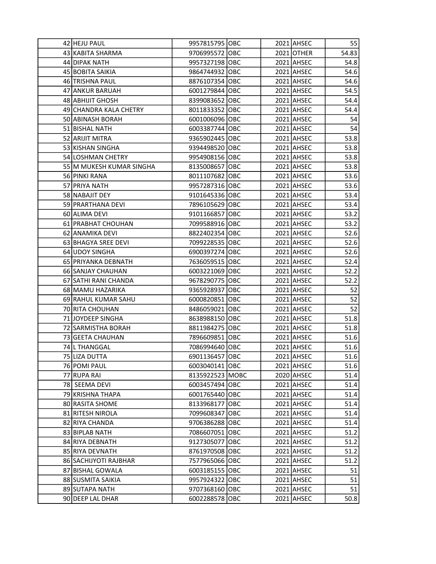| 42 HEJU PAUL             | 9957815795 OBC  |  | 2021 AHSEC | 55    |
|--------------------------|-----------------|--|------------|-------|
| 43 KABITA SHARMA         | 9706995572 OBC  |  | 2021 OTHER | 54.83 |
| 44 DIPAK NATH            | 9957327198 OBC  |  | 2021 AHSEC | 54.8  |
| 45 BOBITA SAIKIA         | 9864744932 OBC  |  | 2021 AHSEC | 54.6  |
| 46 TRISHNA PAUL          | 8876107354 OBC  |  | 2021 AHSEC | 54.6  |
| 47 ANKUR BARUAH          | 6001279844 OBC  |  | 2021 AHSEC | 54.5  |
| 48 ABHIJIT GHOSH         | 8399083652 OBC  |  | 2021 AHSEC | 54.4  |
| 49 CHANDRA KALA CHETRY   | 8011833352 OBC  |  | 2021 AHSEC | 54.4  |
| 50 ABINASH BORAH         | 6001006096 OBC  |  | 2021 AHSEC | 54    |
| 51 BISHAL NATH           | 6003387744 OBC  |  | 2021 AHSEC | 54    |
| 52 ARIJIT MITRA          | 9365902445 OBC  |  | 2021 AHSEC | 53.8  |
| 53 KISHAN SINGHA         | 9394498520 OBC  |  | 2021 AHSEC | 53.8  |
| 54 LOSHMAN CHETRY        | 9954908156 OBC  |  | 2021 AHSEC | 53.8  |
| 55 M MUKESH KUMAR SINGHA | 8135008657 OBC  |  | 2021 AHSEC | 53.8  |
| 56 PINKI RANA            | 8011107682 OBC  |  | 2021 AHSEC | 53.6  |
| 57 PRIYA NATH            | 9957287316 OBC  |  | 2021 AHSEC | 53.6  |
| 58 NABAJIT DEY           | 9101645336 OBC  |  | 2021 AHSEC | 53.4  |
| 59 PRARTHANA DEVI        | 7896105629 OBC  |  | 2021 AHSEC | 53.4  |
| 60 ALIMA DEVI            | 9101166857 OBC  |  | 2021 AHSEC | 53.2  |
| 61 PRABHAT CHOUHAN       | 7099588916 OBC  |  | 2021 AHSEC | 53.2  |
| 62 ANAMIKA DEVI          | 8822402354 OBC  |  | 2021 AHSEC | 52.6  |
| 63 BHAGYA SREE DEVI      | 7099228535 OBC  |  | 2021 AHSEC | 52.6  |
| 64 UDOY SINGHA           | 6900397274 OBC  |  | 2021 AHSEC | 52.6  |
| 65 PRIYANKA DEBNATH      | 7636059515 OBC  |  | 2021 AHSEC | 52.4  |
| 66 SANJAY CHAUHAN        | 6003221069 OBC  |  | 2021 AHSEC | 52.2  |
| 67 SATHI RANI CHANDA     | 9678290775 OBC  |  | 2021 AHSEC | 52.2  |
| 68 MAMU HAZARIKA         | 9365928937 OBC  |  | 2021 AHSEC | 52    |
| 69 RAHUL KUMAR SAHU      | 6000820851 OBC  |  | 2021 AHSEC | 52    |
| 70 RITA CHOUHAN          | 8486059021 OBC  |  | 2021 AHSEC | 52    |
| 71 JOYDEEP SINGHA        | 8638988150 OBC  |  | 2021 AHSEC | 51.8  |
| 72 SARMISTHA BORAH       | 8811984275 OBC  |  | 2021 AHSEC | 51.8  |
| 73 GEETA CHAUHAN         | 7896609851 OBC  |  | 2021 AHSEC | 51.6  |
| 74 L THANGGAL            | 7086994640 OBC  |  | 2021 AHSEC | 51.6  |
| 75 LIZA DUTTA            | 6901136457 OBC  |  | 2021 AHSEC | 51.6  |
| 76 POMI PAUL             | 6003040141 OBC  |  | 2021 AHSEC | 51.6  |
| 77 RUPA RAI              | 8135922523 MOBC |  | 2020 AHSEC | 51.4  |
| 78 SEEMA DEVI            | 6003457494 OBC  |  | 2021 AHSEC | 51.4  |
| 79 KRISHNA THAPA         | 6001765440 OBC  |  | 2021 AHSEC | 51.4  |
| 80 RASITA SHOME          | 8133968177 OBC  |  | 2021 AHSEC | 51.4  |
| 81 RITESH NIROLA         | 7099608347 OBC  |  | 2021 AHSEC | 51.4  |
| 82 RIYA CHANDA           | 9706386288 OBC  |  | 2021 AHSEC | 51.4  |
| 83 BIPLAB NATH           | 7086607051 OBC  |  | 2021 AHSEC | 51.2  |
| 84 RIYA DEBNATH          | 9127305077 OBC  |  | 2021 AHSEC | 51.2  |
| 85 RIYA DEVNATH          | 8761970508 OBC  |  | 2021 AHSEC | 51.2  |
| 86 SACHIJYOTI RAJBHAR    | 7577965066 OBC  |  | 2021 AHSEC | 51.2  |
| 87 BISHAL GOWALA         | 6003185155 OBC  |  | 2021 AHSEC | 51    |
| 88 SUSMITA SAIKIA        | 9957924322 OBC  |  | 2021 AHSEC | 51    |
| 89 SUTAPA NATH           | 9707368160 OBC  |  | 2021 AHSEC | 51    |
| 90 DEEP LAL DHAR         | 6002288578 OBC  |  | 2021 AHSEC | 50.8  |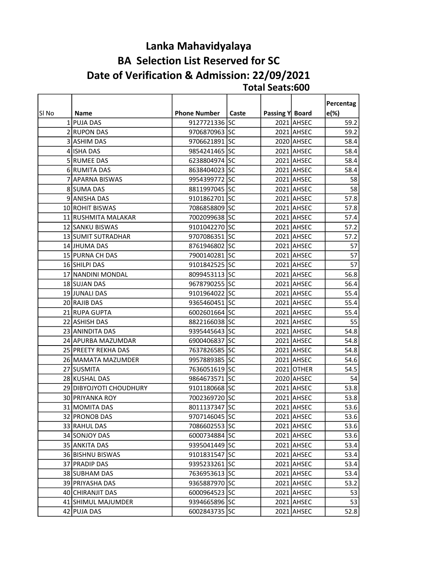#### Total Seats:600 Lanka Mahavidyalaya BA Selection List Reserved for SC Date of Verification & Admission: 22/09/2021

|       |                         |                     |       |                 |            | Percentag |
|-------|-------------------------|---------------------|-------|-----------------|------------|-----------|
| SI No | <b>Name</b>             | <b>Phone Number</b> | Caste | Passing Y Board |            | $e(\%)$   |
|       | 1 PUJA DAS              | 9127721336 SC       |       |                 | 2021 AHSEC | 59.2      |
|       | 2 RUPON DAS             | 9706870963 SC       |       |                 | 2021 AHSEC | 59.2      |
|       | 3 ASHIM DAS             | 9706621891 SC       |       |                 | 2020 AHSEC | 58.4      |
|       | 4 ISHA DAS              | 9854241465 SC       |       |                 | 2021 AHSEC | 58.4      |
|       | 5 RUMEE DAS             | 6238804974 SC       |       |                 | 2021 AHSEC | 58.4      |
|       | 6 RUMITA DAS            | 8638404023 SC       |       |                 | 2021 AHSEC | 58.4      |
|       | 7 APARNA BISWAS         | 9954399772 SC       |       |                 | 2021 AHSEC | 58        |
|       | 8 SUMA DAS              | 8811997045 SC       |       |                 | 2021 AHSEC | 58        |
|       | 9 ANISHA DAS            | 9101862701 SC       |       |                 | 2021 AHSEC | 57.8      |
|       | 10 ROHIT BISWAS         | 7086858809 SC       |       |                 | 2021 AHSEC | 57.8      |
|       | 11 RUSHMITA MALAKAR     | 7002099638 SC       |       |                 | 2021 AHSEC | 57.4      |
|       | 12 SANKU BISWAS         | 9101042270 SC       |       |                 | 2021 AHSEC | 57.2      |
|       | 13 SUMIT SUTRADHAR      | 9707086351 SC       |       |                 | 2021 AHSEC | 57.2      |
|       | 14 JHUMA DAS            | 8761946802 SC       |       |                 | 2021 AHSEC | 57        |
|       | 15 PURNA CH DAS         | 7900140281 SC       |       |                 | 2021 AHSEC | 57        |
|       | 16 SHILPI DAS           | 9101842525 SC       |       |                 | 2021 AHSEC | 57        |
|       | 17 NANDINI MONDAL       | 8099453113 SC       |       |                 | 2021 AHSEC | 56.8      |
|       | 18 SUJAN DAS            | 9678790255 SC       |       |                 | 2021 AHSEC | 56.4      |
|       | 19 JUNALI DAS           | 9101964022 SC       |       |                 | 2021 AHSEC | 55.4      |
|       | 20 RAJIB DAS            | 9365460451 SC       |       |                 | 2021 AHSEC | 55.4      |
|       | 21 RUPA GUPTA           | 6002601664 SC       |       |                 | 2021 AHSEC | 55.4      |
|       | 22 ASHISH DAS           | 8822166038 SC       |       |                 | 2021 AHSEC | 55        |
|       | 23 ANINDITA DAS         | 9395445643 SC       |       |                 | 2021 AHSEC | 54.8      |
|       | 24 APURBA MAZUMDAR      | 6900406837 SC       |       |                 | 2021 AHSEC | 54.8      |
|       | 25 PREETY REKHA DAS     | 7637826585 SC       |       |                 | 2021 AHSEC | 54.8      |
|       | 26 MAMATA MAZUMDER      | 9957889385 SC       |       |                 | 2021 AHSEC | 54.6      |
|       | 27 SUSMITA              | 7636051619 SC       |       |                 | 2021 OTHER | 54.5      |
|       | 28 KUSHAL DAS           | 9864673571 SC       |       |                 | 2020 AHSEC | 54        |
|       | 29 DIBYOJYOTI CHOUDHURY | 9101180668 SC       |       |                 | 2021 AHSEC | 53.8      |
|       | 30 PRIYANKA ROY         | 7002369720 SC       |       |                 | 2021 AHSEC | 53.8      |
|       | 31 MOMITA DAS           | 8011137347 SC       |       |                 | 2021 AHSEC | 53.6      |
|       | 32 PRONOB DAS           | 9707146045 SC       |       |                 | 2021 AHSEC | 53.6      |
|       | 33 RAHUL DAS            | 7086602553 SC       |       |                 | 2021 AHSEC | 53.6      |
|       | 34 SONJOY DAS           | 6000734884 SC       |       |                 | 2021 AHSEC | 53.6      |
|       | 35 ANKITA DAS           | 9395041449 SC       |       |                 | 2021 AHSEC | 53.4      |
|       | 36 BISHNU BISWAS        | 9101831547 SC       |       |                 | 2021 AHSEC | 53.4      |
|       | 37 PRADIP DAS           | 9395233261 SC       |       |                 | 2021 AHSEC | 53.4      |
|       | 38 SUBHAM DAS           | 7636953613 SC       |       |                 | 2021 AHSEC | 53.4      |
|       | 39 PRIYASHA DAS         | 9365887970 SC       |       |                 | 2021 AHSEC | 53.2      |
|       | 40 CHIRANJIT DAS        | 6000964523 SC       |       |                 | 2021 AHSEC | 53        |
|       | 41 SHIMUL MAJUMDER      | 9394665896 SC       |       |                 | 2021 AHSEC | 53        |
|       | 42 PUJA DAS             | 6002843735 SC       |       |                 | 2021 AHSEC | 52.8      |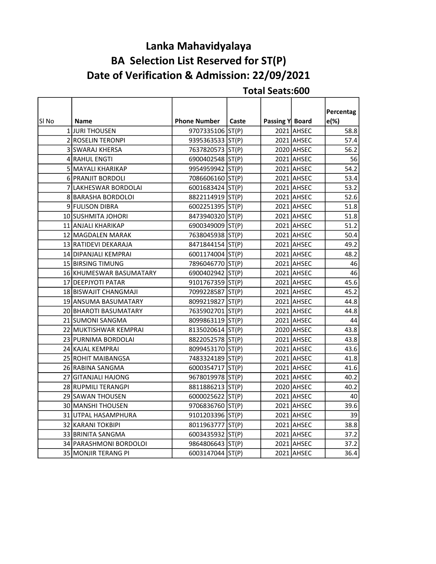# Date of Verification & Admission: 22/09/2021 Lanka Mahavidyalaya BA Selection List Reserved for ST(P)

|       |                         |                     |       |                 |            | Percentag |
|-------|-------------------------|---------------------|-------|-----------------|------------|-----------|
| SI No | <b>Name</b>             | <b>Phone Number</b> | Caste | Passing Y Board |            | e(%)      |
|       | 1JURI THOUSEN           | 9707335106 ST(P)    |       |                 | 2021 AHSEC | 58.8      |
|       | 2 ROSELIN TERONPI       | 9395363533 ST(P)    |       |                 | 2021 AHSEC | 57.4      |
|       | 3 SWARAJ KHERSA         | 7637820573 ST(P)    |       |                 | 2020 AHSEC | 56.2      |
|       | 4 RAHUL ENGTI           | 6900402548 ST(P)    |       |                 | 2021 AHSEC | 56        |
|       | 5 MAYALI KHARIKAP       | 9954959942 ST(P)    |       |                 | 2021 AHSEC | 54.2      |
|       | 6 PRANJIT BORDOLI       | 7086606160 ST(P)    |       |                 | 2021 AHSEC | 53.4      |
|       | 7 LAKHESWAR BORDOLAI    | 6001683424 ST(P)    |       |                 | 2021 AHSEC | 53.2      |
|       | 8 BARASHA BORDOLOI      | 8822114919 ST(P)    |       |                 | 2021 AHSEC | 52.6      |
|       | 9 FULISON DIBRA         | 6002251395 ST(P)    |       |                 | 2021 AHSEC | 51.8      |
|       | 10 SUSHMITA JOHORI      | 8473940320 ST(P)    |       |                 | 2021 AHSEC | 51.8      |
|       | 11 ANJALI KHARIKAP      | 6900349009 ST(P)    |       |                 | 2021 AHSEC | 51.2      |
|       | 12 MAGDALEN MARAK       | 7638045938 ST(P)    |       |                 | 2021 AHSEC | 50.4      |
|       | 13 RATIDEVI DEKARAJA    | 8471844154 ST(P)    |       |                 | 2021 AHSEC | 49.2      |
|       | 14 DIPANJALI KEMPRAI    | 6001174004 ST(P)    |       |                 | 2021 AHSEC | 48.2      |
|       | 15 BIRSING TIMUNG       | 7896046770 ST(P)    |       |                 | 2021 AHSEC | 46        |
|       | 16 KHUMESWAR BASUMATARY | 6900402942 ST(P)    |       |                 | 2021 AHSEC | 46        |
|       | 17 DEEPJYOTI PATAR      | 9101767359 ST(P)    |       |                 | 2021 AHSEC | 45.6      |
|       | 18 BISWAJIT CHANGMAJI   | 7099228587 ST(P)    |       |                 | 2021 AHSEC | 45.2      |
|       | 19 ANSUMA BASUMATARY    | 8099219827 ST(P)    |       |                 | 2021 AHSEC | 44.8      |
|       | 20 BHAROTI BASUMATARY   | 7635902701 ST(P)    |       |                 | 2021 AHSEC | 44.8      |
|       | 21 SUMONI SANGMA        | 8099863119 ST(P)    |       |                 | 2021 AHSEC | 44        |
|       | 22 MUKTISHWAR KEMPRAI   | 8135020614 ST(P)    |       |                 | 2020 AHSEC | 43.8      |
|       | 23 PURNIMA BORDOLAI     | 8822052578 ST(P)    |       |                 | 2021 AHSEC | 43.8      |
|       | 24 KAJAL KEMPRAI        | 8099453170 ST(P)    |       |                 | 2021 AHSEC | 43.6      |
|       | 25 ROHIT MAIBANGSA      | 7483324189 ST(P)    |       |                 | 2021 AHSEC | 41.8      |
|       | 26 RABINA SANGMA        | 6000354717 ST(P)    |       |                 | 2021 AHSEC | 41.6      |
|       | 27 GITANJALI HAJONG     | 9678019978 ST(P)    |       |                 | 2021 AHSEC | 40.2      |
|       | 28 RUPMILI TERANGPI     | 8811886213 ST(P)    |       |                 | 2020 AHSEC | 40.2      |
|       | 29 SAWAN THOUSEN        | 6000025622 ST(P)    |       |                 | 2021 AHSEC | 40        |
|       | 30 MANSHI THOUSEN       | 9706836760 ST(P)    |       |                 | 2021 AHSEC | 39.6      |
|       | 31 UTPAL HASAMPHURA     | 9101203396 ST(P)    |       |                 | 2021 AHSEC | 39        |
|       | 32 KARANI TOKBIPI       | 8011963777 ST(P)    |       |                 | 2021 AHSEC | 38.8      |
|       | 33 BRINITA SANGMA       | 6003435932 ST(P)    |       |                 | 2021 AHSEC | 37.2      |
|       | 34 PARASHMONI BORDOLOI  | 9864806643 ST(P)    |       |                 | 2021 AHSEC | 37.2      |
|       | 35 MONJIR TERANG PI     | 6003147044 ST(P)    |       |                 | 2021 AHSEC | 36.4      |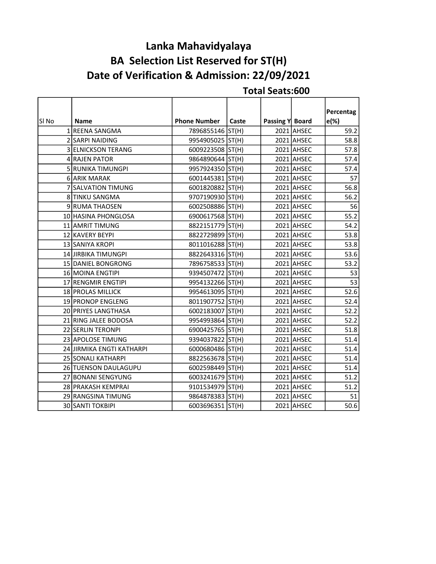# Lanka Mahavidyalaya BA Selection List Reserved for ST(H) Date of Verification & Admission: 22/09/2021

|       |                           |                     |       |                 |            | Percentag |
|-------|---------------------------|---------------------|-------|-----------------|------------|-----------|
| SI No | <b>Name</b>               | <b>Phone Number</b> | Caste | Passing Y Board |            | $e(\%)$   |
|       | 1 REENA SANGMA            | 7896855146 ST(H)    |       |                 | 2021 AHSEC | 59.2      |
|       | 2 SARPI NAIDING           | 9954905025 ST(H)    |       |                 | 2021 AHSEC | 58.8      |
|       | 3 ELNICKSON TERANG        | 6009223508 ST(H)    |       |                 | 2021 AHSEC | 57.8      |
|       | 4 RAJEN PATOR             | 9864890644 ST(H)    |       |                 | 2021 AHSEC | 57.4      |
|       | 5 RUNIKA TIMUNGPI         | 9957924350 ST(H)    |       |                 | 2021 AHSEC | 57.4      |
|       | 6 ARIK MARAK              | 6001445381 ST(H)    |       |                 | 2021 AHSEC | 57        |
|       | 7 SALVATION TIMUNG        | 6001820882 ST(H)    |       |                 | 2021 AHSEC | 56.8      |
|       | 8 TINKU SANGMA            | 9707190930 ST(H)    |       |                 | 2021 AHSEC | 56.2      |
|       | 9 RUMA THAOSEN            | 6002508886 ST(H)    |       |                 | 2021 AHSEC | 56        |
|       | 10 HASINA PHONGLOSA       | 6900617568 ST(H)    |       |                 | 2021 AHSEC | 55.2      |
|       | 11 AMRIT TIMUNG           | 8822151779 ST(H)    |       |                 | 2021 AHSEC | 54.2      |
|       | 12 KAVERY BEYPI           | 8822729899 ST(H)    |       |                 | 2021 AHSEC | 53.8      |
|       | 13 SANIYA KROPI           | 8011016288 ST(H)    |       |                 | 2021 AHSEC | 53.8      |
|       | 14 JIRBIKA TIMUNGPI       | 8822643316 ST(H)    |       |                 | 2021 AHSEC | 53.6      |
|       | 15 DANIEL BONGRONG        | 7896758533 ST(H)    |       |                 | 2021 AHSEC | 53.2      |
|       | 16 MOINA ENGTIPI          | 9394507472 ST(H)    |       |                 | 2021 AHSEC | 53        |
|       | 17 RENGMIR ENGTIPI        | 9954132266 ST(H)    |       |                 | 2021 AHSEC | 53        |
|       | 18 PROLAS MILLICK         | 9954613095 ST(H)    |       |                 | 2021 AHSEC | 52.6      |
|       | 19 PRONOP ENGLENG         | 8011907752 ST(H)    |       |                 | 2021 AHSEC | 52.4      |
|       | 20 PRIYES LANGTHASA       | 6002183007 ST(H)    |       |                 | 2021 AHSEC | 52.2      |
|       | 21 RING JALEE BODOSA      | 9954993864 ST(H)    |       |                 | 2021 AHSEC | 52.2      |
|       | 22 SERLIN TERONPI         | 6900425765 ST(H)    |       |                 | 2021 AHSEC | 51.8      |
|       | 23 APOLOSE TIMUNG         | 9394037822 ST(H)    |       |                 | 2021 AHSEC | 51.4      |
|       | 24 JIRMIKA ENGTI KATHARPI | 6000680486 ST(H)    |       |                 | 2021 AHSEC | 51.4      |
|       | 25 SONALI KATHARPI        | 8822563678 ST(H)    |       |                 | 2021 AHSEC | 51.4      |
|       | 26 TUENSON DAULAGUPU      | 6002598449 ST(H)    |       |                 | 2021 AHSEC | 51.4      |
|       | 27 BONANI SENGYUNG        | 6003241679 ST(H)    |       |                 | 2021 AHSEC | 51.2      |
|       | 28 PRAKASH KEMPRAI        | 9101534979 ST(H)    |       |                 | 2021 AHSEC | 51.2      |
|       | 29 RANGSINA TIMUNG        | 9864878383 ST(H)    |       |                 | 2021 AHSEC | 51        |
|       | 30 SANTI TOKBIPI          | 6003696351 ST(H)    |       |                 | 2021 AHSEC | 50.6      |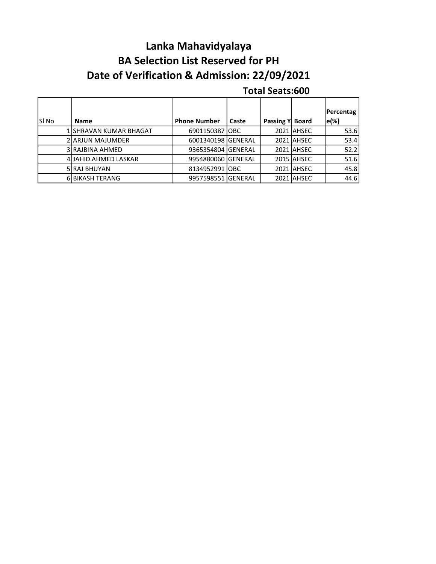# Lanka Mahavidyalaya BA Selection List Reserved for PH Date of Verification & Admission: 22/09/2021

|        |                         |                     |       |                 |            | Percentag        |
|--------|-------------------------|---------------------|-------|-----------------|------------|------------------|
| lSI No | <b>Name</b>             | <b>Phone Number</b> | Caste | Passing Y Board |            | $\mathsf{e}(\%)$ |
|        | 1 ISHRAVAN KUMAR BHAGAT | 6901150387 OBC      |       |                 | 2021 AHSEC | 53.6             |
|        | 2 ARJUN MAJUMDER        | 6001340198 GENERAL  |       |                 | 2021 AHSEC | 53.4             |
|        | 3 RAJBINA AHMED         | 9365354804 GENERAL  |       |                 | 2021 AHSEC | 52.2             |
|        | 4 JJAHID AHMED LASKAR   | 9954880060 GENERAL  |       |                 | 2015 AHSEC | 51.6             |
|        | 5 RAJ BHUYAN            | 8134952991 IOBC     |       |                 | 2021 AHSEC | 45.8             |
|        | 6 BIKASH TERANG         | 9957598551 GENERAL  |       |                 | 2021 AHSEC | 44.6             |